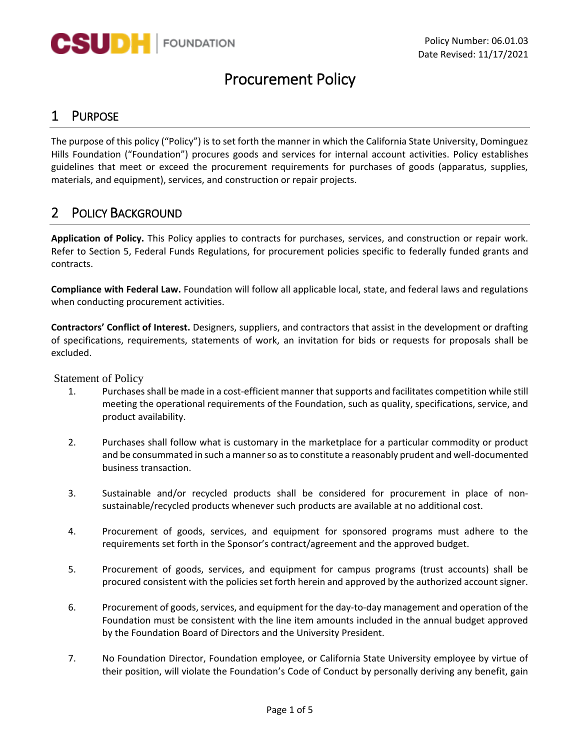

# Procurement Policy

### 1 PURPOSE

The purpose of this policy ("Policy") is to set forth the manner in which the California State University, Dominguez Hills Foundation ("Foundation") procures goods and services for internal account activities. Policy establishes guidelines that meet or exceed the procurement requirements for purchases of goods (apparatus, supplies, materials, and equipment), services, and construction or repair projects.

### 2 POLICY BACKGROUND

**Application of Policy.** This Policy applies to contracts for purchases, services, and construction or repair work. Refer to Section 5, Federal Funds Regulations, for procurement policies specific to federally funded grants and contracts.

**Compliance with Federal Law.** Foundation will follow all applicable local, state, and federal laws and regulations when conducting procurement activities.

**Contractors' Conflict of Interest.** Designers, suppliers, and contractors that assist in the development or drafting of specifications, requirements, statements of work, an invitation for bids or requests for proposals shall be excluded.

Statement of Policy

- 1. Purchases shall be made in a cost-efficient manner thatsupports and facilitates competition while still meeting the operational requirements of the Foundation, such as quality, specifications, service, and product availability.
- 2. Purchases shall follow what is customary in the marketplace for a particular commodity or product and be consummated in such a manner so as to constitute a reasonably prudent and well-documented business transaction.
- 3. Sustainable and/or recycled products shall be considered for procurement in place of non‐ sustainable/recycled products whenever such products are available at no additional cost.
- 4. Procurement of goods, services, and equipment for sponsored programs must adhere to the requirements set forth in the Sponsor's contract/agreement and the approved budget.
- 5. Procurement of goods, services, and equipment for campus programs (trust accounts) shall be procured consistent with the policies set forth herein and approved by the authorized account signer.
- 6. Procurement of goods, services, and equipment for the day‐to‐day management and operation of the Foundation must be consistent with the line item amounts included in the annual budget approved by the Foundation Board of Directors and the University President.
- 7. No Foundation Director, Foundation employee, or California State University employee by virtue of their position, will violate the Foundation's Code of Conduct by personally deriving any benefit, gain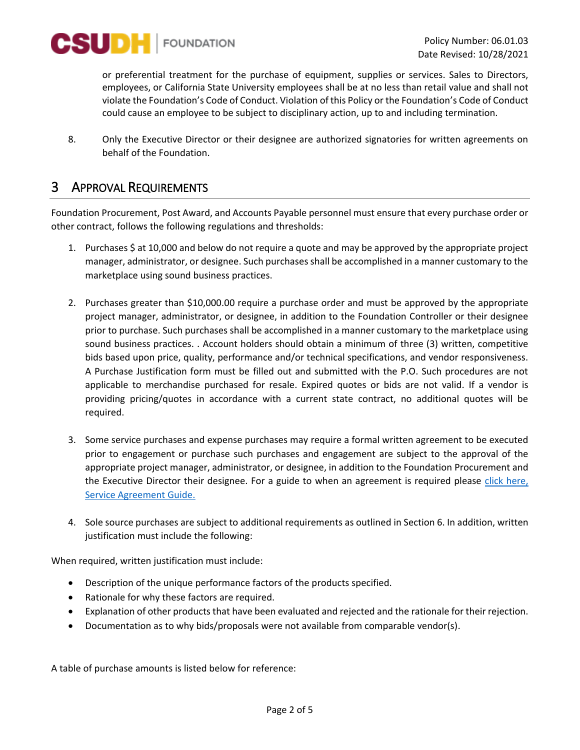

or preferential treatment for the purchase of equipment, supplies or services. Sales to Directors, employees, or California State University employees shall be at no less than retail value and shall not violate the Foundation's Code of Conduct. Violation of this Policy or the Foundation's Code of Conduct could cause an employee to be subject to disciplinary action, up to and including termination.

8. Only the Executive Director or their designee are authorized signatories for written agreements on behalf of the Foundation.

### 3 APPROVAL REQUIREMENTS

Foundation Procurement, Post Award, and Accounts Payable personnel must ensure that every purchase order or other contract, follows the following regulations and thresholds:

- 1. Purchases \$ at 10,000 and below do not require a quote and may be approved by the appropriate project manager, administrator, or designee. Such purchases shall be accomplished in a manner customary to the marketplace using sound business practices.
- 2. Purchases greater than \$10,000.00 require a purchase order and must be approved by the appropriate project manager, administrator, or designee, in addition to the Foundation Controller or their designee prior to purchase. Such purchases shall be accomplished in a manner customary to the marketplace using sound business practices. . Account holders should obtain a minimum of three (3) written, competitive bids based upon price, quality, performance and/or technical specifications, and vendor responsiveness. A Purchase Justification form must be filled out and submitted with the P.O. Such procedures are not applicable to merchandise purchased for resale. Expired quotes or bids are not valid. If a vendor is providing pricing/quotes in accordance with a current state contract, no additional quotes will be required.
- 3. Some service purchases and expense purchases may require a formal written agreement to be executed prior to engagement or purchase such purchases and engagement are subject to the approval of the appropriate project manager, administrator, or designee, in addition to the Foundation Procurement and the Executive Director their designee. For a guide to when an agreement is required please [click here,](https://csudhfoundation.com/wp-content/uploads/2021/09/Service-and-Contract-Agreement-Guide-1.pdf)  [Service Agreement Guide.](https://csudhfoundation.com/wp-content/uploads/2021/09/Service-and-Contract-Agreement-Guide-1.pdf)
- 4. Sole source purchases are subject to additional requirements as outlined in Section 6. In addition, written justification must include the following:

When required, written justification must include:

- Description of the unique performance factors of the products specified.
- Rationale for why these factors are required.
- Explanation of other products that have been evaluated and rejected and the rationale for their rejection.
- Documentation as to why bids/proposals were not available from comparable vendor(s).

A table of purchase amounts is listed below for reference: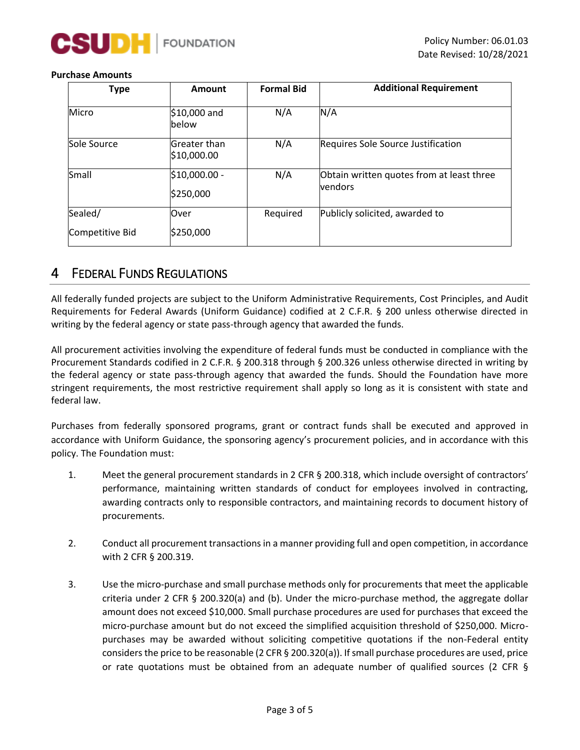

#### **Purchase Amounts**

| <b>Type</b>     | Amount                      | <b>Formal Bid</b> | <b>Additional Requirement</b>                        |
|-----------------|-----------------------------|-------------------|------------------------------------------------------|
| Micro           | \$10,000 and<br>lbelow      | N/A               | N/A                                                  |
| Sole Source     | Greater than<br>\$10,000.00 | N/A               | Requires Sole Source Justification                   |
| Small           | \$10,000.00 -<br>\$250,000  | N/A               | Obtain written quotes from at least three<br>vendors |
| Sealed/         | Over                        | Required          | Publicly solicited, awarded to                       |
| Competitive Bid | \$250,000                   |                   |                                                      |

### 4 FEDERAL FUNDS REGULATIONS

All federally funded projects are subject to the Uniform Administrative Requirements, Cost Principles, and Audit Requirements for Federal Awards (Uniform Guidance) codified at 2 C.F.R. § 200 unless otherwise directed in writing by the federal agency or state pass-through agency that awarded the funds.

All procurement activities involving the expenditure of federal funds must be conducted in compliance with the Procurement Standards codified in 2 C.F.R. § 200.318 through § 200.326 unless otherwise directed in writing by the federal agency or state pass-through agency that awarded the funds. Should the Foundation have more stringent requirements, the most restrictive requirement shall apply so long as it is consistent with state and federal law.

Purchases from federally sponsored programs, grant or contract funds shall be executed and approved in accordance with Uniform Guidance, the sponsoring agency's procurement policies, and in accordance with this policy. The Foundation must:

- 1. Meet the general procurement standards in 2 CFR § 200.318, which include oversight of contractors' performance, maintaining written standards of conduct for employees involved in contracting, awarding contracts only to responsible contractors, and maintaining records to document history of procurements.
- 2. Conduct all procurement transactions in a manner providing full and open competition, in accordance with 2 CFR § 200.319.
- 3. Use the micro-purchase and small purchase methods only for procurements that meet the applicable criteria under 2 CFR § 200.320(a) and (b). Under the micro-purchase method, the aggregate dollar amount does not exceed \$10,000. Small purchase procedures are used for purchases that exceed the micro-purchase amount but do not exceed the simplified acquisition threshold of \$250,000. Micropurchases may be awarded without soliciting competitive quotations if the non-Federal entity considers the price to be reasonable (2 CFR § 200.320(a)). If small purchase procedures are used, price or rate quotations must be obtained from an adequate number of qualified sources (2 CFR §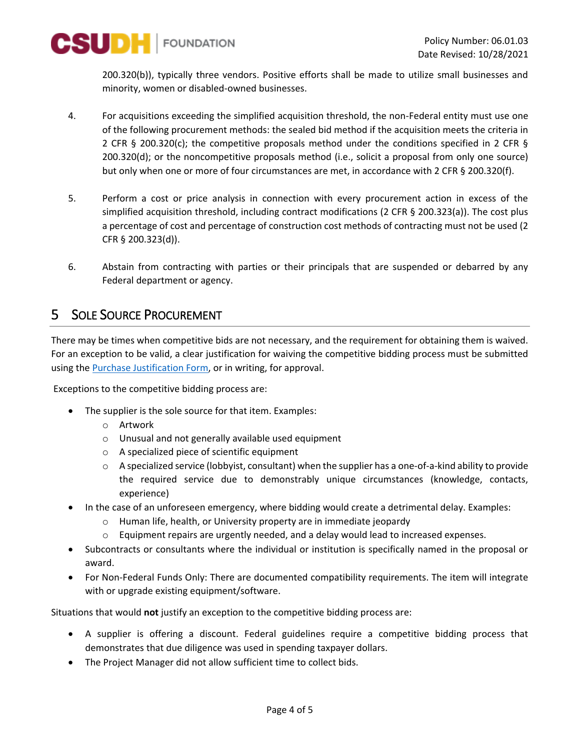

200.320(b)), typically three vendors. Positive efforts shall be made to utilize small businesses and minority, women or disabled-owned businesses.

- 4. For acquisitions exceeding the simplified acquisition threshold, the non-Federal entity must use one of the following procurement methods: the sealed bid method if the acquisition meets the criteria in 2 CFR § 200.320(c); the competitive proposals method under the conditions specified in 2 CFR § 200.320(d); or the noncompetitive proposals method (i.e., solicit a proposal from only one source) but only when one or more of four circumstances are met, in accordance with 2 CFR § 200.320(f).
- 5. Perform a cost or price analysis in connection with every procurement action in excess of the simplified acquisition threshold, including contract modifications (2 CFR § 200.323(a)). The cost plus a percentage of cost and percentage of construction cost methods of contracting must not be used (2 CFR § 200.323(d)).
- 6. Abstain from contracting with parties or their principals that are suspended or debarred by any Federal department or agency.

### 5 SOLE SOURCE PROCUREMENT

There may be times when competitive bids are not necessary, and the requirement for obtaining them is waived. For an exception to be valid, a clear justification for waiving the competitive bidding process must be submitted using the **Purchase Justification Form**, or in writing, for approval.

Exceptions to the competitive bidding process are:

- The supplier is the sole source for that item. Examples:
	- o Artwork
	- o Unusual and not generally available used equipment
	- o A specialized piece of scientific equipment
	- $\circ$  A specialized service (lobbyist, consultant) when the supplier has a one-of-a-kind ability to provide the required service due to demonstrably unique circumstances (knowledge, contacts, experience)
- In the case of an unforeseen emergency, where bidding would create a detrimental delay. Examples:
	- o Human life, health, or University property are in immediate jeopardy
	- $\circ$  Equipment repairs are urgently needed, and a delay would lead to increased expenses.
- Subcontracts or consultants where the individual or institution is specifically named in the proposal or award.
- For Non-Federal Funds Only: There are documented compatibility requirements. The item will integrate with or upgrade existing equipment/software.

Situations that would **not** justify an exception to the competitive bidding process are:

- A supplier is offering a discount. Federal guidelines require a competitive bidding process that demonstrates that due diligence was used in spending taxpayer dollars.
- The Project Manager did not allow sufficient time to collect bids.